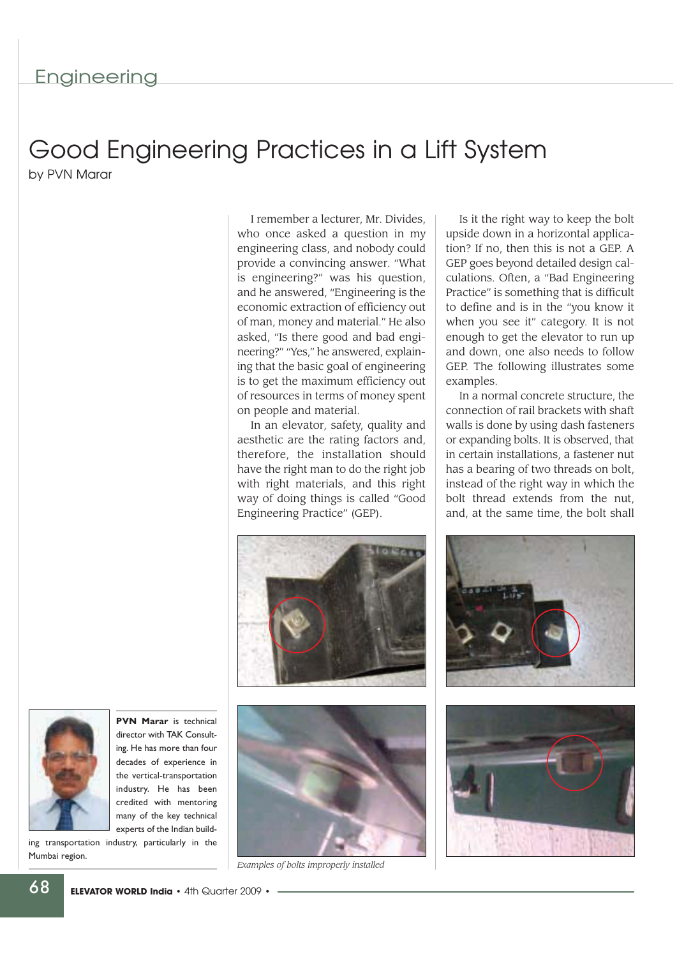## Good Engineering Practices in a Lift System

by PVN Marar

I remember a lecturer, Mr. Divides, who once asked a question in my engineering class, and nobody could provide a convincing answer. "What is engineering?" was his question, and he answered, "Engineering is the economic extraction of efficiency out of man, money and material." He also asked, "Is there good and bad engineering?" "Yes," he answered, explaining that the basic goal of engineering is to get the maximum efficiency out of resources in terms of money spent on people and material.

In an elevator, safety, quality and aesthetic are the rating factors and, therefore, the installation should have the right man to do the right job with right materials, and this right way of doing things is called "Good Engineering Practice" (GEP).

Is it the right way to keep the bolt upside down in a horizontal application? If no, then this is not a GEP. A GEP goes beyond detailed design calculations. Often, a "Bad Engineering Practice" is something that is difficult to define and is in the "you know it when you see it" category. It is not enough to get the elevator to run up and down, one also needs to follow GEP. The following illustrates some examples.

In a normal concrete structure, the connection of rail brackets with shaft walls is done by using dash fasteners or expanding bolts. It is observed, that in certain installations, a fastener nut has a bearing of two threads on bolt, instead of the right way in which the bolt thread extends from the nut, and, at the same time, the bolt shall





*Examples of bolts improperly installed*







**PVN Marar** is technical director with TAK Consulting. He has more than four decades of experience in the vertical-transportation industry. He has been credited with mentoring many of the key technical experts of the Indian build-

ing transportation industry, particularly in the Mumbai region.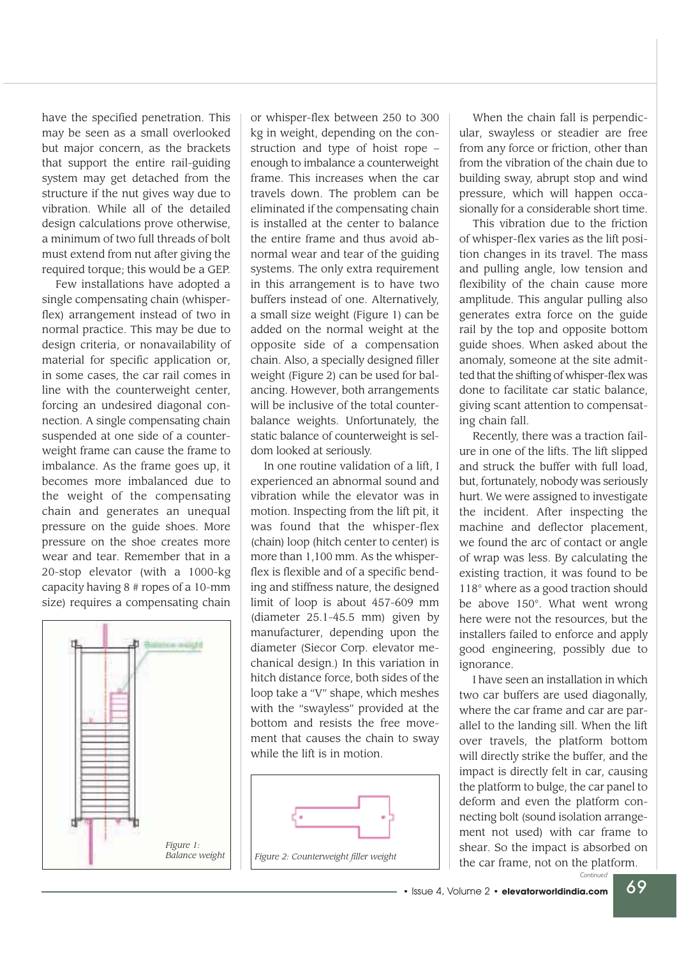have the specified penetration. This may be seen as a small overlooked but major concern, as the brackets that support the entire rail-guiding system may get detached from the structure if the nut gives way due to vibration. While all of the detailed design calculations prove otherwise, a minimum of two full threads of bolt must extend from nut after giving the required torque; this would be a GEP.

Few installations have adopted a single compensating chain (whisperflex) arrangement instead of two in normal practice. This may be due to design criteria, or nonavailability of material for specific application or, in some cases, the car rail comes in line with the counterweight center, forcing an undesired diagonal connection. A single compensating chain suspended at one side of a counterweight frame can cause the frame to imbalance. As the frame goes up, it becomes more imbalanced due to the weight of the compensating chain and generates an unequal pressure on the guide shoes. More pressure on the shoe creates more wear and tear. Remember that in a 20-stop elevator (with a 1000-kg capacity having 8 # ropes of a 10-mm size) requires a compensating chain



or whisper-flex between 250 to 300 kg in weight, depending on the construction and type of hoist rope – enough to imbalance a counterweight frame. This increases when the car travels down. The problem can be eliminated if the compensating chain is installed at the center to balance the entire frame and thus avoid abnormal wear and tear of the guiding systems. The only extra requirement in this arrangement is to have two buffers instead of one. Alternatively, a small size weight (Figure 1) can be added on the normal weight at the opposite side of a compensation chain. Also, a specially designed filler weight (Figure 2) can be used for balancing. However, both arrangements will be inclusive of the total counterbalance weights. Unfortunately, the static balance of counterweight is seldom looked at seriously.

In one routine validation of a lift, I experienced an abnormal sound and vibration while the elevator was in motion. Inspecting from the lift pit, it was found that the whisper-flex (chain) loop (hitch center to center) is more than 1,100 mm. As the whisperflex is flexible and of a specific bending and stiffness nature, the designed limit of loop is about 457-609 mm (diameter 25.1-45.5 mm) given by manufacturer, depending upon the diameter (Siecor Corp. elevator mechanical design.) In this variation in hitch distance force, both sides of the loop take a "V" shape, which meshes with the "swayless" provided at the bottom and resists the free movement that causes the chain to sway while the lift is in motion.



When the chain fall is perpendicular, swayless or steadier are free from any force or friction, other than from the vibration of the chain due to building sway, abrupt stop and wind pressure, which will happen occasionally for a considerable short time.

This vibration due to the friction of whisper-flex varies as the lift position changes in its travel. The mass and pulling angle, low tension and flexibility of the chain cause more amplitude. This angular pulling also generates extra force on the guide rail by the top and opposite bottom guide shoes. When asked about the anomaly, someone at the site admitted that the shifting of whisper-flex was done to facilitate car static balance, giving scant attention to compensating chain fall.

Recently, there was a traction failure in one of the lifts. The lift slipped and struck the buffer with full load, but, fortunately, nobody was seriously hurt. We were assigned to investigate the incident. After inspecting the machine and deflector placement, we found the arc of contact or angle of wrap was less. By calculating the existing traction, it was found to be 118° where as a good traction should be above 150°. What went wrong here were not the resources, but the installers failed to enforce and apply good engineering, possibly due to ignorance.

I have seen an installation in which two car buffers are used diagonally, where the car frame and car are parallel to the landing sill. When the lift over travels, the platform bottom will directly strike the buffer, and the impact is directly felt in car, causing the platform to bulge, the car panel to deform and even the platform connecting bolt (sound isolation arrangement not used) with car frame to shear. So the impact is absorbed on the car frame, not on the platform.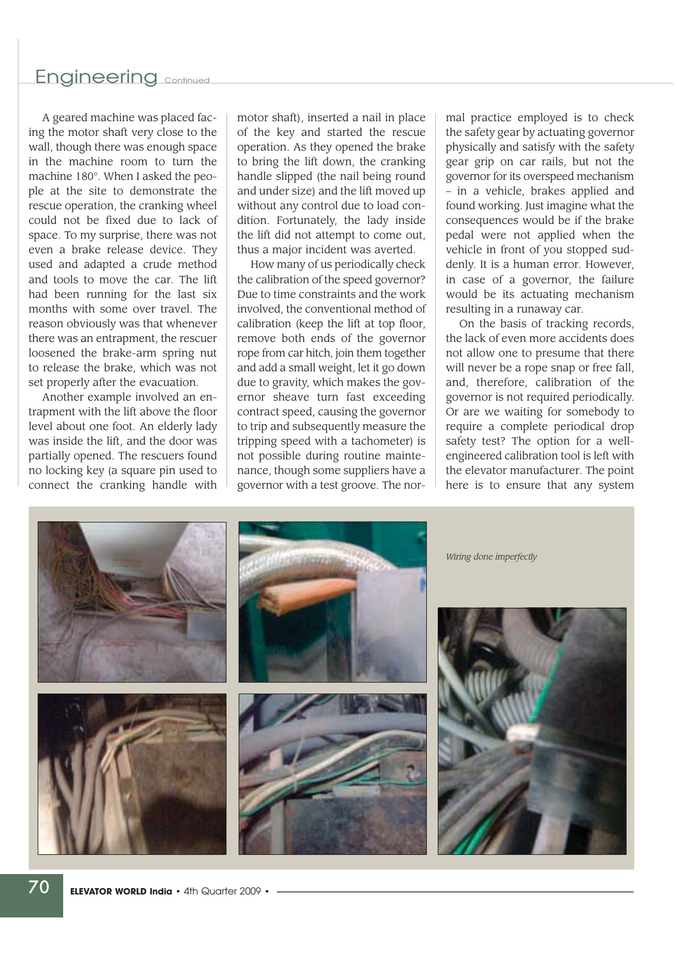## Engineering continued

A geared machine was placed facing the motor shaft very close to the wall, though there was enough space in the machine room to turn the machine 180°. When I asked the people at the site to demonstrate the rescue operation, the cranking wheel could not be fixed due to lack of space. To my surprise, there was not even a brake release device. They used and adapted a crude method and tools to move the car. The lift had been running for the last six months with some over travel. The reason obviously was that whenever there was an entrapment, the rescuer loosened the brake-arm spring nut to release the brake, which was not set properly after the evacuation.

Another example involved an entrapment with the lift above the floor level about one foot. An elderly lady was inside the lift, and the door was partially opened. The rescuers found no locking key (a square pin used to connect the cranking handle with

motor shaft), inserted a nail in place of the key and started the rescue operation. As they opened the brake to bring the lift down, the cranking handle slipped (the nail being round and under size) and the lift moved up without any control due to load condition. Fortunately, the lady inside the lift did not attempt to come out, thus a major incident was averted.

How many of us periodically check the calibration of the speed governor? Due to time constraints and the work involved, the conventional method of calibration (keep the lift at top floor, remove both ends of the governor rope from car hitch, join them together and add a small weight, let it go down due to gravity, which makes the governor sheave turn fast exceeding contract speed, causing the governor to trip and subsequently measure the tripping speed with a tachometer) is not possible during routine maintenance, though some suppliers have a governor with a test groove. The normal practice employed is to check the safety gear by actuating governor physically and satisfy with the safety gear grip on car rails, but not the governor for its overspeed mechanism – in a vehicle, brakes applied and found working. Just imagine what the consequences would be if the brake pedal were not applied when the vehicle in front of you stopped suddenly. It is a human error. However, in case of a governor, the failure would be its actuating mechanism resulting in a runaway car.

On the basis of tracking records, the lack of even more accidents does not allow one to presume that there will never be a rope snap or free fall, and, therefore, calibration of the governor is not required periodically. Or are we waiting for somebody to require a complete periodical drop safety test? The option for a wellengineered calibration tool is left with the elevator manufacturer. The point here is to ensure that any system